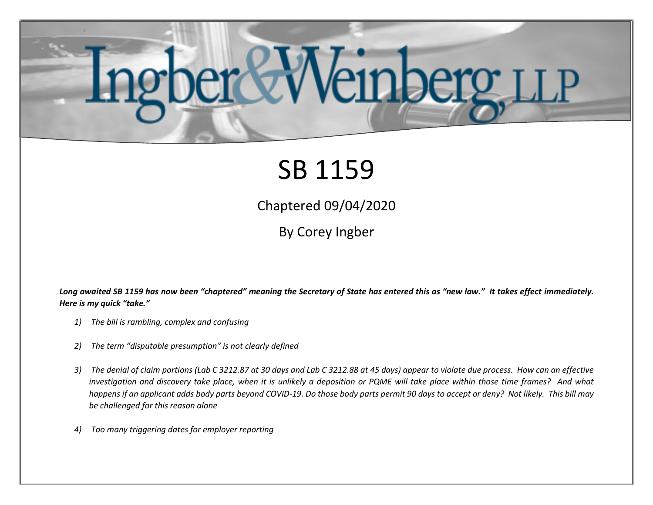## inberg LLP

## SB 1159

Chaptered 09/04/2020

By Corey Ingber

Long awaited SB 1159 has now been "chaptered" meaning the Secretary of State has entered this as "new law." It takes effect *immediately*. *Here is my quick "take."*

- *1) The bill is rambling, complex and confusing*
- *2) The term "disputable presumption" is not clearly defined*
- *3) The denial of claim portions (Lab C 3212.87 at 30 days and Lab C 3212.88 at 45 days) appear to violate due process. How can an effective investigation and discovery take place, when it is unlikely a deposition or PQME will take place within those time frames? And what happens if an applicant adds body parts beyond COVID-19. Do those body parts permit 90 days to accept or deny? Not likely. This bill may be challenged for this reason alone*
- *4) Too many triggering dates for employer reporting*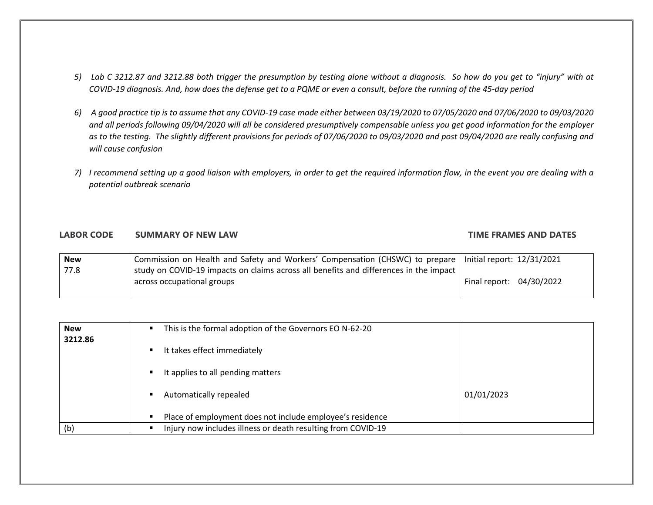- *5) Lab C 3212.87 and 3212.88 both trigger the presumption by testing alone without a diagnosis. So how do you get to "injury" with at COVID-19 diagnosis. And, how does the defense get to a PQME or even a consult, before the running of the 45-day period*
- *6) A good practice tip is to assume that any COVID-19 case made either between 03/19/2020 to 07/05/2020 and 07/06/2020 to 09/03/2020 and all periods following 09/04/2020 will all be considered presumptively compensable unless you get good information for the employer as to the testing. The slightly different provisions for periods of 07/06/2020 to 09/03/2020 and post 09/04/2020 are really confusing and will cause confusion*
- *7) I recommend setting up a good liaison with employers, in order to get the required information flow, in the event you are dealing with a potential outbreak scenario*

## **LABOR CODE SUMMARY OF NEW LAW TIME FRAMES AND DATES**

| <b>New</b> | Commission on Health and Safety and Workers' Compensation (CHSWC) to prepare   Initial report: 12/31/2021 |                          |  |
|------------|-----------------------------------------------------------------------------------------------------------|--------------------------|--|
| 77.8       | study on COVID-19 impacts on claims across all benefits and differences in the impact                     |                          |  |
|            | across occupational groups                                                                                | Final report: 04/30/2022 |  |
|            |                                                                                                           |                          |  |

| <b>New</b> | This is the formal adoption of the Governors EO N-62-20      |            |
|------------|--------------------------------------------------------------|------------|
| 3212.86    | It takes effect immediately                                  |            |
|            | It applies to all pending matters                            |            |
|            | Automatically repealed                                       | 01/01/2023 |
|            | Place of employment does not include employee's residence    |            |
| (b)        | Injury now includes illness or death resulting from COVID-19 |            |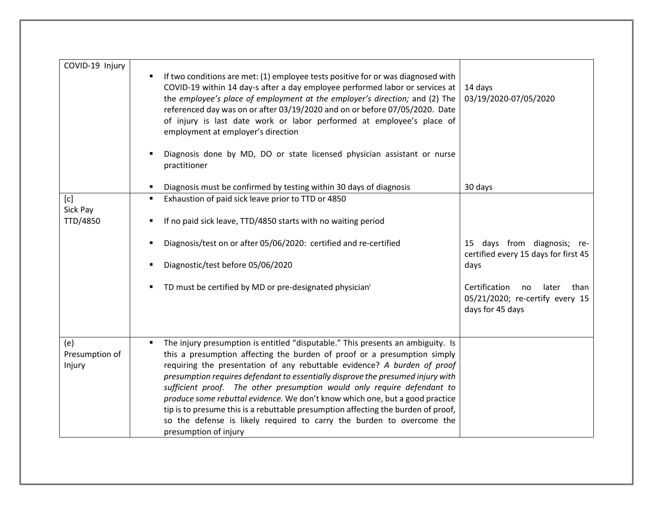| COVID-19 Injury                 | If two conditions are met: (1) employee tests positive for or was diagnosed with<br>COVID-19 within 14 day-s after a day employee performed labor or services at<br>the employee's place of employment at the employer's direction; and (2) The<br>referenced day was on or after 03/19/2020 and on or before 07/05/2020. Date<br>of injury is last date work or labor performed at employee's place of<br>employment at employer's direction                                                                                                                                                                                                                                                  | 14 days<br>03/19/2020-07/05/2020                                                            |
|---------------------------------|------------------------------------------------------------------------------------------------------------------------------------------------------------------------------------------------------------------------------------------------------------------------------------------------------------------------------------------------------------------------------------------------------------------------------------------------------------------------------------------------------------------------------------------------------------------------------------------------------------------------------------------------------------------------------------------------|---------------------------------------------------------------------------------------------|
|                                 | Diagnosis done by MD, DO or state licensed physician assistant or nurse<br>practitioner                                                                                                                                                                                                                                                                                                                                                                                                                                                                                                                                                                                                        |                                                                                             |
|                                 | Diagnosis must be confirmed by testing within 30 days of diagnosis                                                                                                                                                                                                                                                                                                                                                                                                                                                                                                                                                                                                                             | 30 days                                                                                     |
| [c]<br>Sick Pay<br>TTD/4850     | Exhaustion of paid sick leave prior to TTD or 4850<br>$\blacksquare$<br>If no paid sick leave, TTD/4850 starts with no waiting period                                                                                                                                                                                                                                                                                                                                                                                                                                                                                                                                                          |                                                                                             |
|                                 | Diagnosis/test on or after 05/06/2020: certified and re-certified                                                                                                                                                                                                                                                                                                                                                                                                                                                                                                                                                                                                                              | days from diagnosis; re-<br>15<br>certified every 15 days for first 45                      |
|                                 | Diagnostic/test before 05/06/2020<br>٠                                                                                                                                                                                                                                                                                                                                                                                                                                                                                                                                                                                                                                                         | days                                                                                        |
|                                 | TD must be certified by MD or pre-designated physician <sup>i</sup>                                                                                                                                                                                                                                                                                                                                                                                                                                                                                                                                                                                                                            | Certification<br>than<br>no<br>later<br>05/21/2020; re-certify every 15<br>days for 45 days |
| (e)<br>Presumption of<br>Injury | The injury presumption is entitled "disputable." This presents an ambiguity. Is<br>$\blacksquare$<br>this a presumption affecting the burden of proof or a presumption simply<br>requiring the presentation of any rebuttable evidence? A burden of proof<br>presumption requires defendant to essentially disprove the presumed injury with<br>sufficient proof. The other presumption would only require defendant to<br>produce some rebuttal evidence. We don't know which one, but a good practice<br>tip is to presume this is a rebuttable presumption affecting the burden of proof,<br>so the defense is likely required to carry the burden to overcome the<br>presumption of injury |                                                                                             |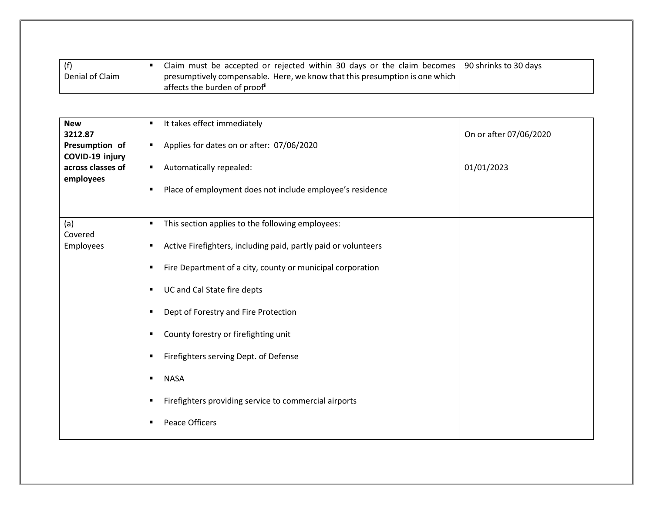| (f)             | Claim must be accepted or rejected within 30 days or the claim becomes   90 shrinks to 30 days |  |
|-----------------|------------------------------------------------------------------------------------------------|--|
| Denial of Claim | presumptively compensable. Here, we know that this presumption is one which $\parallel$        |  |
|                 | affects the burden of proof i                                                                  |  |

| <b>New</b><br>3212.87<br>Presumption of<br>COVID-19 injury<br>across classes of<br>employees | It takes effect immediately<br>Applies for dates on or after: 07/06/2020<br>Automatically repealed:<br>п.<br>Place of employment does not include employee's residence<br>٠                                                                                                                                                                                                                                                                                           | On or after 07/06/2020<br>01/01/2023 |
|----------------------------------------------------------------------------------------------|-----------------------------------------------------------------------------------------------------------------------------------------------------------------------------------------------------------------------------------------------------------------------------------------------------------------------------------------------------------------------------------------------------------------------------------------------------------------------|--------------------------------------|
| (a)<br>Covered<br>Employees                                                                  | This section applies to the following employees:<br>Active Firefighters, including paid, partly paid or volunteers<br>٠<br>Fire Department of a city, county or municipal corporation<br>٠<br>UC and Cal State fire depts<br>٠<br>Dept of Forestry and Fire Protection<br>٠<br>County forestry or firefighting unit<br>Firefighters serving Dept. of Defense<br>٠<br><b>NASA</b><br>٠<br>Firefighters providing service to commercial airports<br>Peace Officers<br>٠ |                                      |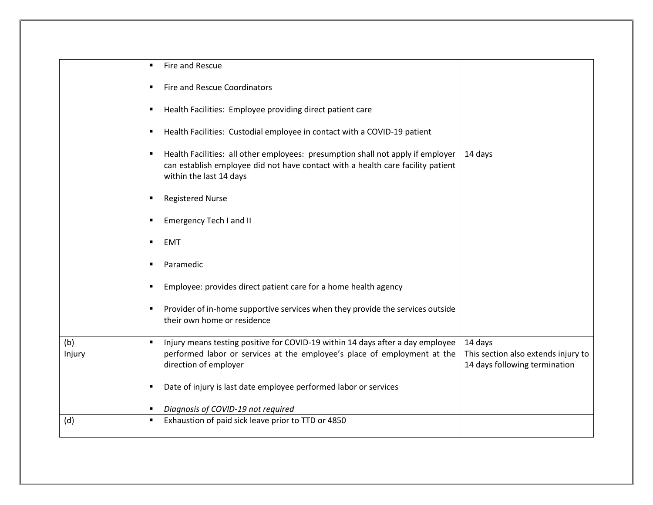|               | Fire and Rescue                                                                                                                                                                               |                                                                                 |
|---------------|-----------------------------------------------------------------------------------------------------------------------------------------------------------------------------------------------|---------------------------------------------------------------------------------|
|               | <b>Fire and Rescue Coordinators</b>                                                                                                                                                           |                                                                                 |
|               | Health Facilities: Employee providing direct patient care<br>٠                                                                                                                                |                                                                                 |
|               | Health Facilities: Custodial employee in contact with a COVID-19 patient<br>$\blacksquare$                                                                                                    |                                                                                 |
|               | Health Facilities: all other employees: presumption shall not apply if employer<br>can establish employee did not have contact with a health care facility patient<br>within the last 14 days | 14 days                                                                         |
|               | <b>Registered Nurse</b>                                                                                                                                                                       |                                                                                 |
|               | <b>Emergency Tech I and II</b>                                                                                                                                                                |                                                                                 |
|               | <b>EMT</b>                                                                                                                                                                                    |                                                                                 |
|               | Paramedic                                                                                                                                                                                     |                                                                                 |
|               | Employee: provides direct patient care for a home health agency<br>$\blacksquare$                                                                                                             |                                                                                 |
|               | Provider of in-home supportive services when they provide the services outside<br>their own home or residence                                                                                 |                                                                                 |
| (b)<br>Injury | Injury means testing positive for COVID-19 within 14 days after a day employee<br>performed labor or services at the employee's place of employment at the<br>direction of employer           | 14 days<br>This section also extends injury to<br>14 days following termination |
|               | Date of injury is last date employee performed labor or services<br>٠                                                                                                                         |                                                                                 |
|               | Diagnosis of COVID-19 not required                                                                                                                                                            |                                                                                 |
| (d)           | Exhaustion of paid sick leave prior to TTD or 4850<br>$\blacksquare$                                                                                                                          |                                                                                 |
|               |                                                                                                                                                                                               |                                                                                 |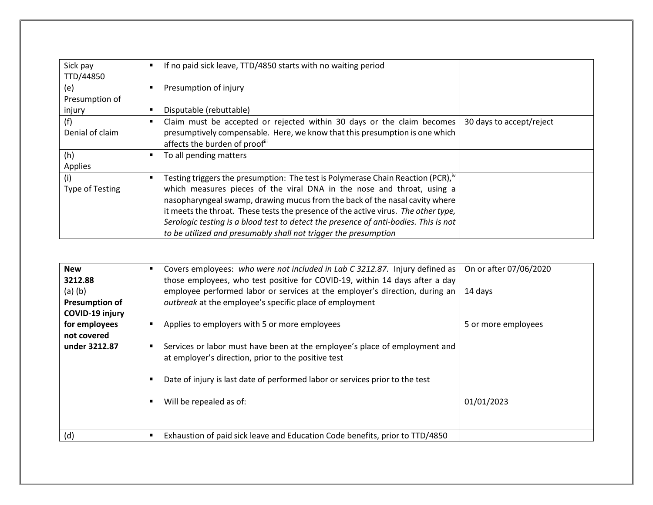| Sick pay<br>TTD/44850           | If no paid sick leave, TTD/4850 starts with no waiting period                                                                                                                                                                                                                                                                                                                                                                                                                                          |                          |
|---------------------------------|--------------------------------------------------------------------------------------------------------------------------------------------------------------------------------------------------------------------------------------------------------------------------------------------------------------------------------------------------------------------------------------------------------------------------------------------------------------------------------------------------------|--------------------------|
| (e)<br>Presumption of<br>injury | Presumption of injury<br>Disputable (rebuttable)                                                                                                                                                                                                                                                                                                                                                                                                                                                       |                          |
| (f)<br>Denial of claim          | Claim must be accepted or rejected within 30 days or the claim becomes<br>presumptively compensable. Here, we know that this presumption is one which<br>affects the burden of proofili                                                                                                                                                                                                                                                                                                                | 30 days to accept/reject |
| (h)<br>Applies                  | To all pending matters                                                                                                                                                                                                                                                                                                                                                                                                                                                                                 |                          |
| (i)<br>Type of Testing          | Testing triggers the presumption: The test is Polymerase Chain Reaction (PCR), <sup>iv</sup><br>which measures pieces of the viral DNA in the nose and throat, using a<br>nasopharyngeal swamp, drawing mucus from the back of the nasal cavity where<br>it meets the throat. These tests the presence of the active virus. The other type,<br>Serologic testing is a blood test to detect the presence of anti-bodies. This is not<br>to be utilized and presumably shall not trigger the presumption |                          |

| <b>New</b>            | Covers employees: who were not included in Lab C 3212.87. Injury defined as<br>٠ | On or after 07/06/2020 |
|-----------------------|----------------------------------------------------------------------------------|------------------------|
| 3212.88               | those employees, who test positive for COVID-19, within 14 days after a day      |                        |
| $(a)$ $(b)$           | employee performed labor or services at the employer's direction, during an      | 14 days                |
| <b>Presumption of</b> | outbreak at the employee's specific place of employment                          |                        |
| COVID-19 injury       |                                                                                  |                        |
| for employees         | Applies to employers with 5 or more employees                                    | 5 or more employees    |
| not covered           |                                                                                  |                        |
| under 3212.87         | Services or labor must have been at the employee's place of employment and       |                        |
|                       | at employer's direction, prior to the positive test                              |                        |
|                       |                                                                                  |                        |
|                       | Date of injury is last date of performed labor or services prior to the test     |                        |
|                       |                                                                                  |                        |
|                       | Will be repealed as of:                                                          | 01/01/2023             |
|                       |                                                                                  |                        |
|                       |                                                                                  |                        |
| (d)                   | Exhaustion of paid sick leave and Education Code benefits, prior to TTD/4850     |                        |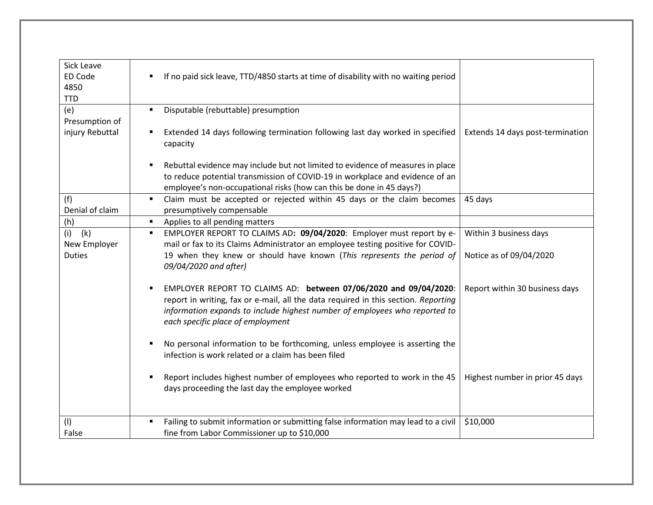| Sick Leave<br>ED Code<br>4850<br><b>TTD</b> | If no paid sick leave, TTD/4850 starts at time of disability with no waiting period<br>٠                                                                                                                                                                                  |                                  |
|---------------------------------------------|---------------------------------------------------------------------------------------------------------------------------------------------------------------------------------------------------------------------------------------------------------------------------|----------------------------------|
| (e)                                         | Disputable (rebuttable) presumption<br>٠                                                                                                                                                                                                                                  |                                  |
| Presumption of                              |                                                                                                                                                                                                                                                                           |                                  |
| injury Rebuttal                             | Extended 14 days following termination following last day worked in specified<br>٠<br>capacity                                                                                                                                                                            | Extends 14 days post-termination |
|                                             | Rebuttal evidence may include but not limited to evidence of measures in place                                                                                                                                                                                            |                                  |
|                                             | to reduce potential transmission of COVID-19 in workplace and evidence of an                                                                                                                                                                                              |                                  |
|                                             | employee's non-occupational risks (how can this be done in 45 days?)                                                                                                                                                                                                      |                                  |
| (f)                                         | Claim must be accepted or rejected within 45 days or the claim becomes<br>$\blacksquare$                                                                                                                                                                                  | 45 days                          |
| Denial of claim                             | presumptively compensable                                                                                                                                                                                                                                                 |                                  |
| (h)                                         | Applies to all pending matters<br>٠                                                                                                                                                                                                                                       |                                  |
| (i)<br>(k)                                  | EMPLOYER REPORT TO CLAIMS AD: 09/04/2020: Employer must report by e-<br>٠                                                                                                                                                                                                 | Within 3 business days           |
| New Employer<br><b>Duties</b>               | mail or fax to its Claims Administrator an employee testing positive for COVID-<br>19 when they knew or should have known (This represents the period of                                                                                                                  | Notice as of 09/04/2020          |
|                                             | 09/04/2020 and after)                                                                                                                                                                                                                                                     |                                  |
|                                             | EMPLOYER REPORT TO CLAIMS AD: between 07/06/2020 and 09/04/2020:<br>report in writing, fax or e-mail, all the data required in this section. Reporting<br>information expands to include highest number of employees who reported to<br>each specific place of employment | Report within 30 business days   |
|                                             | No personal information to be forthcoming, unless employee is asserting the<br>infection is work related or a claim has been filed                                                                                                                                        |                                  |
|                                             | Report includes highest number of employees who reported to work in the 45<br>days proceeding the last day the employee worked                                                                                                                                            | Highest number in prior 45 days  |
| (1)                                         | Failing to submit information or submitting false information may lead to a civil                                                                                                                                                                                         | \$10,000                         |
| False                                       | fine from Labor Commissioner up to \$10,000                                                                                                                                                                                                                               |                                  |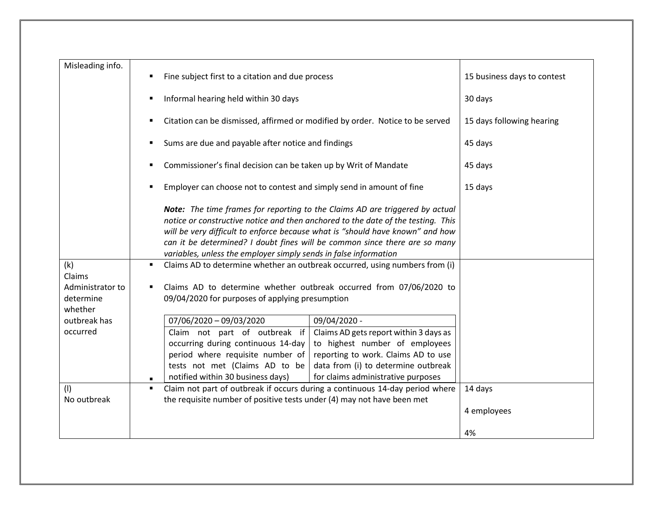| Misleading info.                         | Fine subject first to a citation and due process                                                                                                                                                                                                                                                                                | 15 business days to contest |
|------------------------------------------|---------------------------------------------------------------------------------------------------------------------------------------------------------------------------------------------------------------------------------------------------------------------------------------------------------------------------------|-----------------------------|
|                                          | Informal hearing held within 30 days                                                                                                                                                                                                                                                                                            | 30 days                     |
|                                          | Citation can be dismissed, affirmed or modified by order. Notice to be served                                                                                                                                                                                                                                                   | 15 days following hearing   |
|                                          | Sums are due and payable after notice and findings                                                                                                                                                                                                                                                                              | 45 days                     |
|                                          | Commissioner's final decision can be taken up by Writ of Mandate<br>٠                                                                                                                                                                                                                                                           | 45 days                     |
|                                          | Employer can choose not to contest and simply send in amount of fine                                                                                                                                                                                                                                                            | 15 days                     |
|                                          | Note: The time frames for reporting to the Claims AD are triggered by actual<br>notice or constructive notice and then anchored to the date of the testing. This<br>will be very difficult to enforce because what is "should have known" and how<br>can it be determined? I doubt fines will be common since there are so many |                             |
|                                          | variables, unless the employer simply sends in false information                                                                                                                                                                                                                                                                |                             |
| (k)<br>Claims                            | Claims AD to determine whether an outbreak occurred, using numbers from (i)<br>$\blacksquare$                                                                                                                                                                                                                                   |                             |
| Administrator to<br>determine<br>whether | Claims AD to determine whether outbreak occurred from 07/06/2020 to<br>09/04/2020 for purposes of applying presumption                                                                                                                                                                                                          |                             |
| outbreak has                             | 07/06/2020 - 09/03/2020<br>09/04/2020 -                                                                                                                                                                                                                                                                                         |                             |
| occurred                                 | Claim not part of outbreak if<br>Claims AD gets report within 3 days as                                                                                                                                                                                                                                                         |                             |
|                                          | occurring during continuous 14-day<br>to highest number of employees                                                                                                                                                                                                                                                            |                             |
|                                          | period where requisite number of<br>reporting to work. Claims AD to use                                                                                                                                                                                                                                                         |                             |
|                                          | tests not met (Claims AD to be<br>data from (i) to determine outbreak                                                                                                                                                                                                                                                           |                             |
|                                          | notified within 30 business days)<br>for claims administrative purposes                                                                                                                                                                                                                                                         |                             |
| (1)                                      | Claim not part of outbreak if occurs during a continuous 14-day period where                                                                                                                                                                                                                                                    | 14 days                     |
| No outbreak                              | the requisite number of positive tests under (4) may not have been met                                                                                                                                                                                                                                                          |                             |
|                                          |                                                                                                                                                                                                                                                                                                                                 | 4 employees                 |
|                                          |                                                                                                                                                                                                                                                                                                                                 | 4%                          |